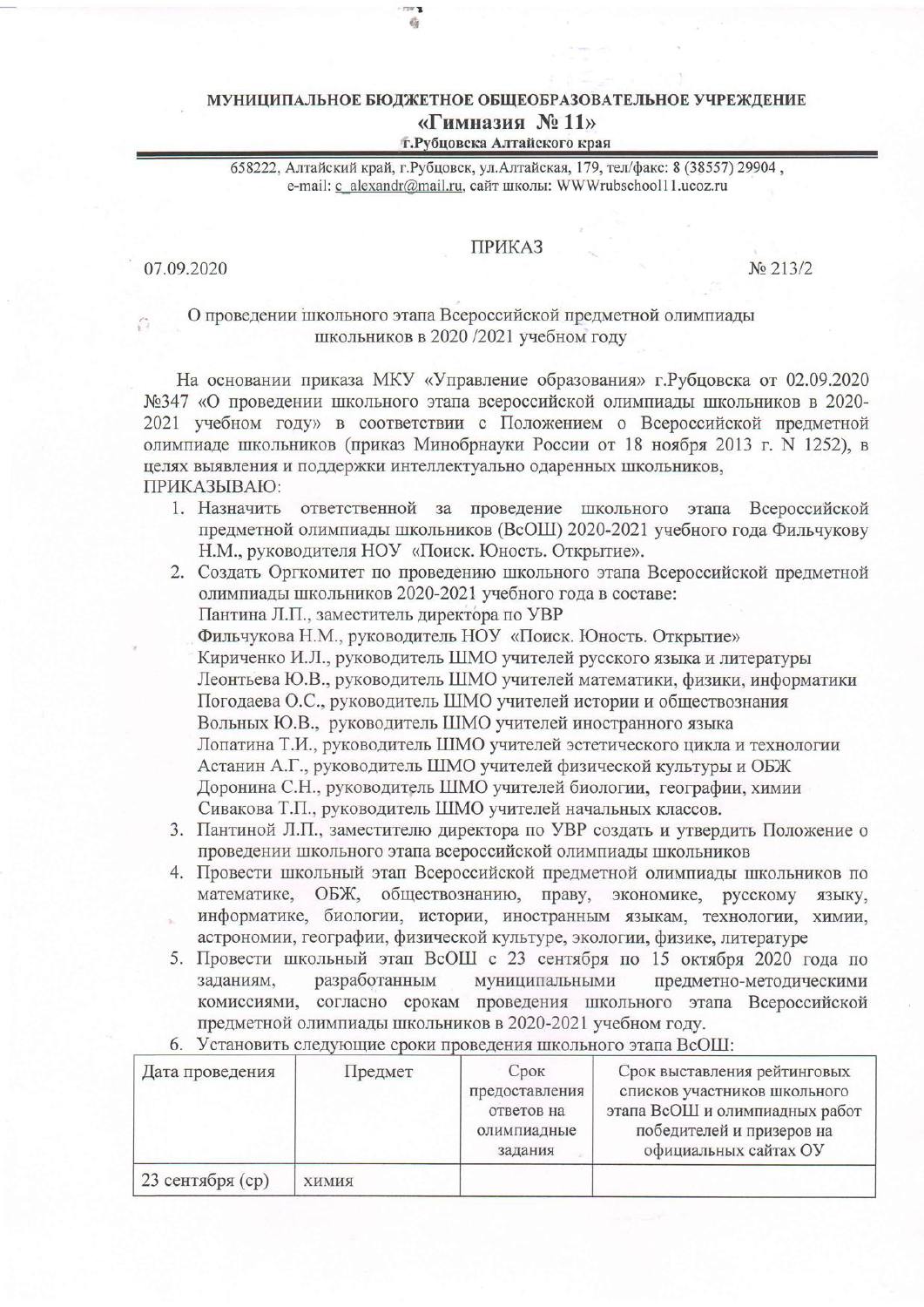## МУНИЦИПАЛЬНОЕ БЮДЖЕТНОЕ ОБЩЕОБРАЗОВАТЕЛЬНОЕ УЧРЕЖДЕНИЕ «Гимназия № 11»

Ø.

т. Рубцовска Алтайского края

658222, Алтайский край, г.Рубцовск, ул.Алтайская, 179, тел/факс: 8 (38557) 29904, e-mail: с alexandr@mail.ru, сайт школы: WWWrubschool11.ucoz.ru

## **ПРИКАЗ**

07.09.2020

No 213/2

## О проведении школьного этапа Всероссийской предметной олимпиады школьников в 2020 /2021 учебном году

На основании приказа МКУ «Управление образования» г. Рубцовска от 02.09.2020 №347 «О проведении школьного этапа всероссийской олимпиады школьников в 2020-2021 учебном году» в соответствии с Положением о Всероссийской предметной олимпиаде школьников (приказ Минобрнауки России от 18 ноября 2013 г. N 1252), в целях выявления и поддержки интеллектуально одаренных школьников, ПРИКАЗЫВАЮ:

- 1. Назначить ответственной за проведение школьного этапа Всероссийской предметной олимпиады школьников (ВсОШ) 2020-2021 учебного года Фильчукову Н.М., руководителя НОУ «Поиск. Юность. Открытие».
- 2. Создать Оргкомитет по проведению школьного этапа Всероссийской предметной олимпиады школьников 2020-2021 учебного года в составе: Пантина Л.П., заместитель директора по УВР Фильчукова Н.М., руководитель НОУ «Поиск. Юность. Открытие» Кириченко И.Л., руководитель ШМО учителей русского языка и литературы Леонтьева Ю.В., руководитель ШМО учителей математики, физики, информатики Погодаева О.С., руководитель ШМО учителей истории и обществознания Вольных Ю.В., руководитель ШМО учителей иностранного языка Лопатина Т.И., руководитель ШМО учителей эстетического цикла и технологии Астанин А.Г., руководитель ШМО учителей физической культуры и ОБЖ Доронина С.Н., руководитель ШМО учителей биологии, географии, химии Сивакова Т.П., руководитель ШМО учителей начальных классов.
- 3. Пантиной Л.П., заместителю директора по УВР создать и утвердить Положение о проведении школьного этапа всероссийской олимпиады школьников
- 4. Провести школьный этап Всероссийской предметной олимпиады школьников по математике, ОБЖ, обществознанию, праву, экономике, русскому языку, информатике, биологии, истории, иностранным языкам, технологии, химии, астрономии, географии, физической культуре, экологии, физике, литературе
- 5. Провести школьный этап ВсОШ с 23 сентября по 15 октября 2020 года по заланиям. разработанным муниципальными предметно-методическими комиссиями, согласно срокам проведения школьного этапа Всероссийской предметной олимпиады школьников в 2020-2021 учебном году.

| Дата проведения  | Предмет      | Срок<br>предоставления<br>ответов на<br>олимпиадные<br>задания | Срок выставления рейтинговых<br>списков участников школьного<br>этапа ВсОШ и олимпиадных работ<br>победителей и призеров на<br>официальных сайтах ОУ |
|------------------|--------------|----------------------------------------------------------------|------------------------------------------------------------------------------------------------------------------------------------------------------|
| 23 сентября (ср) | <b>КИМИЯ</b> |                                                                |                                                                                                                                                      |

6. Установить следующие сроки проведения школьного этапа ВсОШ: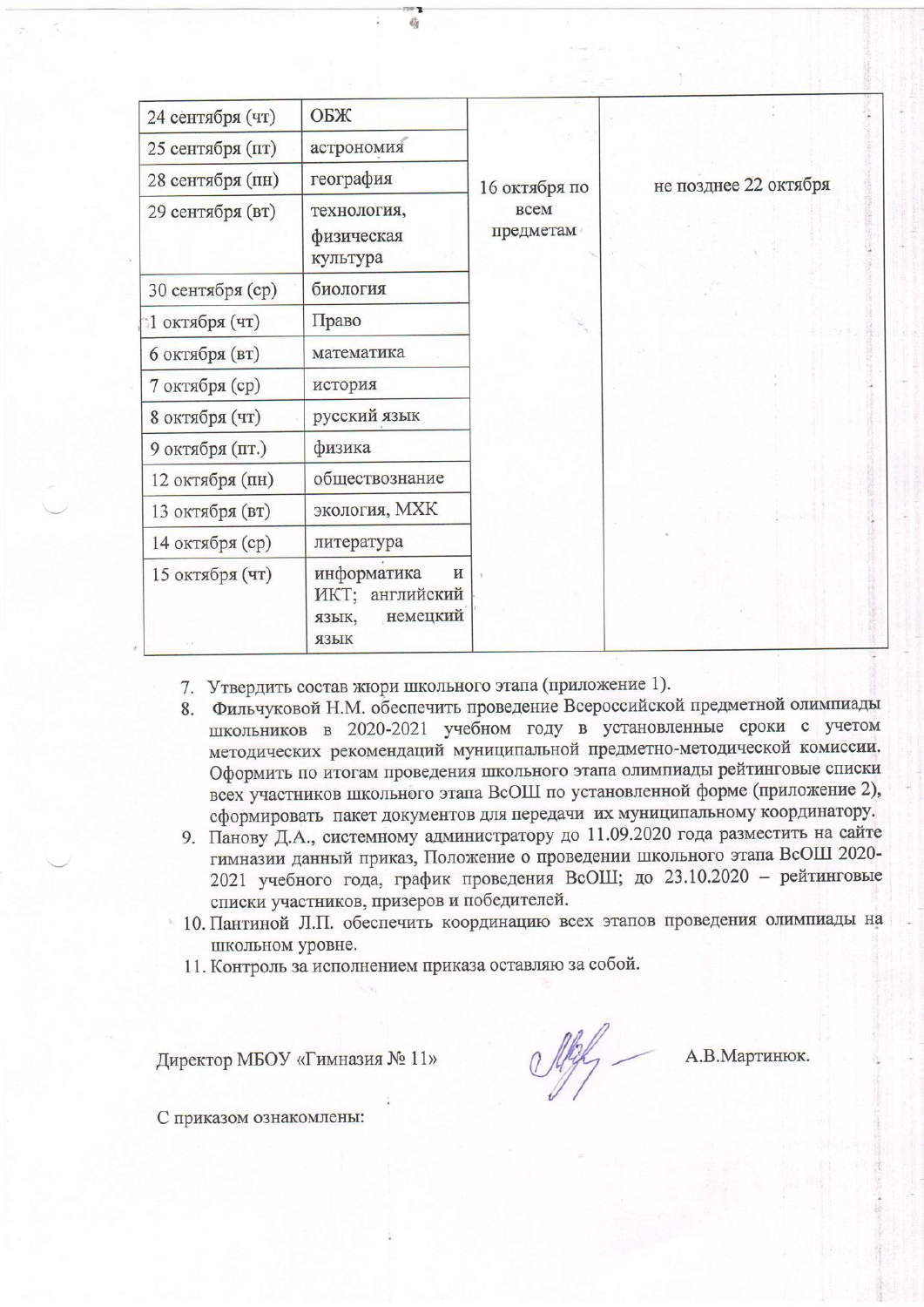| 24 сентября (чт) | ОБЖ                                                              | не позднее 22 октября<br>16 октября по<br><b>BCCM</b><br>предметам |  |
|------------------|------------------------------------------------------------------|--------------------------------------------------------------------|--|
| 25 сентября (пт) | астрономия                                                       |                                                                    |  |
| 28 сентября (пн) | география                                                        |                                                                    |  |
| 29 сентября (вт) | технология,<br>физическая<br>культура                            |                                                                    |  |
| 30 сентября (ср) | биология                                                         |                                                                    |  |
| 1 октября (чт)   | Право                                                            |                                                                    |  |
| 6 октября (вт)   | математика                                                       |                                                                    |  |
| 7 октября (ср)   | история                                                          |                                                                    |  |
| 8 октября (чт)   | русский язык                                                     |                                                                    |  |
| 9 октября (пт.)  | физика                                                           |                                                                    |  |
| 12 октября (пн)  | обществознание                                                   |                                                                    |  |
| 13 октября (вт)  | экология, МХК                                                    |                                                                    |  |
| 14 октября (ср)  | литература                                                       |                                                                    |  |
| 15 октября (чт)  | информатика<br>и<br>ИКТ; английский<br>немецкий<br>ЯЗЫК,<br>ЯЗЫК |                                                                    |  |

- 7. Утвердить состав жюри школьного этапа (приложение 1).
- 8. Фильчуковой Н.М. обеспечить проведение Всероссийской предметной олимпиады школьников в 2020-2021 учебном году в установленные сроки с учетом методических рекомендаций муниципальной предметно-методической комиссии. Оформить по итогам проведения школьного этапа олимпиады рейтинговые списки всех участников школьного этапа ВсОШ по установленной форме (приложение 2), сформировать пакет документов для передачи их муниципальному координатору.
- 9. Панову Д.А., системному администратору до 11.09.2020 года разместить на сайте гимназии данный приказ, Положение о проведении школьного этапа ВСОШ 2020-2021 учебного года, график проведения ВсОШ; до 23.10.2020 - рейтинговые списки участников, призеров и победителей.
- 10. Пантиной Л.П. обеспечить координацию всех этапов проведения олимпиады на школьном уровне.
- 11. Контроль за исполнением приказа оставляю за собой.

Директор МБОУ «Гимназия № 11»

 $\frac{1}{2}$ 

А.В.Мартинюк.

С приказом ознакомлены: